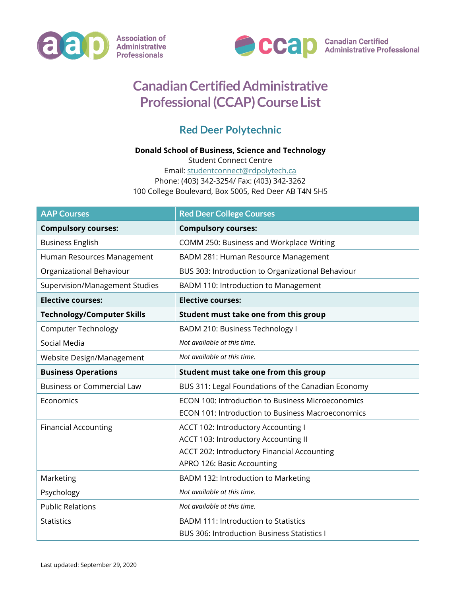



## **Canadian Certified Administrative Professional (CCAP) Course List**

## **Red Deer Polytechnic**

## **Donald School of Business, Science and Technology**

Student Connect Centre Email: [studentconnect@rdpolytech.ca](mailto:studentconnect@rdpolytech.ca) Phone: (403) 342-3254/ Fax: (403) 342-3262 100 College Boulevard, Box 5005, Red Deer AB T4N 5H5

| <b>AAP Courses</b>                | <b>Red Deer College Courses</b>                          |
|-----------------------------------|----------------------------------------------------------|
| <b>Compulsory courses:</b>        | <b>Compulsory courses:</b>                               |
| <b>Business English</b>           | COMM 250: Business and Workplace Writing                 |
| Human Resources Management        | BADM 281: Human Resource Management                      |
| Organizational Behaviour          | BUS 303: Introduction to Organizational Behaviour        |
| Supervision/Management Studies    | BADM 110: Introduction to Management                     |
| <b>Elective courses:</b>          | <b>Elective courses:</b>                                 |
| <b>Technology/Computer Skills</b> | Student must take one from this group                    |
| <b>Computer Technology</b>        | BADM 210: Business Technology I                          |
| Social Media                      | Not available at this time.                              |
| Website Design/Management         | Not available at this time.                              |
| <b>Business Operations</b>        | Student must take one from this group                    |
| <b>Business or Commercial Law</b> | BUS 311: Legal Foundations of the Canadian Economy       |
| Economics                         | ECON 100: Introduction to Business Microeconomics        |
|                                   | <b>ECON 101: Introduction to Business Macroeconomics</b> |
| <b>Financial Accounting</b>       | ACCT 102: Introductory Accounting I                      |
|                                   | ACCT 103: Introductory Accounting II                     |
|                                   | ACCT 202: Introductory Financial Accounting              |
|                                   | APRO 126: Basic Accounting                               |
| Marketing                         | BADM 132: Introduction to Marketing                      |
| Psychology                        | Not available at this time.                              |
| <b>Public Relations</b>           | Not available at this time.                              |
| <b>Statistics</b>                 | <b>BADM 111: Introduction to Statistics</b>              |
|                                   | <b>BUS 306: Introduction Business Statistics I</b>       |